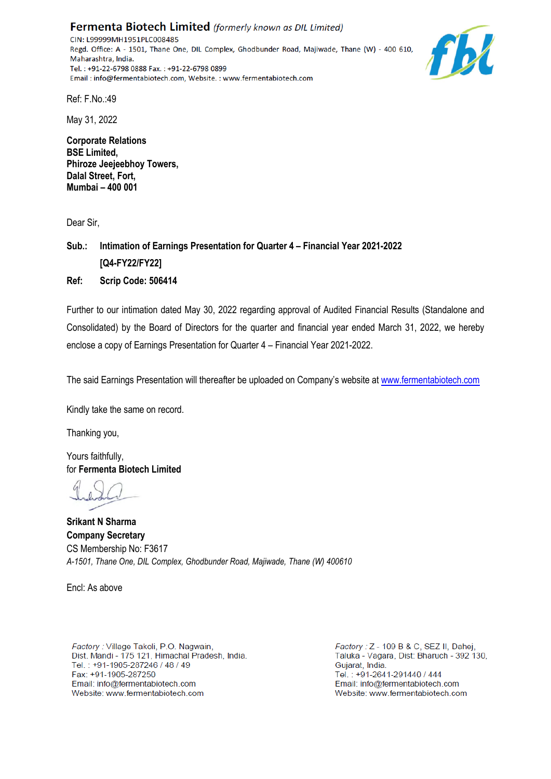Fermenta Biotech Limited (formerly known as DIL Limited) CIN: L99999MH1951PLC008485 Regd. Office: A - 1501, Thane One, DIL Complex, Ghodbunder Road, Majiwade, Thane (W) - 400 610, Maharashtra, India. Tel.: +91-22-6798 0888 Fax.: +91-22-6798 0899 Email: info@fermentabiotech.com, Website.: www.fermentabiotech.com



Ref: F.No.:49

May 31, 2022

**Corporate Relations BSE Limited, Phiroze Jeejeebhoy Towers, Dalal Street, Fort, Mumbai – 400 001**

Dear Sir,

**Sub.: Intimation of Earnings Presentation for Quarter 4 – Financial Year 2021-2022 [Q4-FY22/FY22] Ref: Scrip Code: 506414** 

Further to our intimation dated May 30, 2022 regarding approval of Audited Financial Results (Standalone and Consolidated) by the Board of Directors for the quarter and financial year ended March 31, 2022, we hereby enclose a copy of Earnings Presentation for Quarter 4 – Financial Year 2021-2022.

The said Earnings Presentation will thereafter be uploaded on Company's website at www.fermentabiotech.com

Kindly take the same on record.

Thanking you,

Yours faithfully, for **Fermenta Biotech Limited** 

**Srikant N Sharma Company Secretary** CS Membership No: F3617 *A-1501, Thane One, DIL Complex, Ghodbunder Road, Majiwade, Thane (W) 400610*

Encl: As above

Factory: Village Takoli, P.O. Nagwain, Dist. Mandi - 175 121, Himachal Pradesh, India. Tel.: +91-1905-287246 / 48 / 49 Fax: +91-1905-287250 Email: info@fermentabiotech.com Website: www.fermentabiotech.com

Factory: Z - 109 B & C, SEZ II, Dahei, Taluka - Vagara, Dist: Bharuch - 392 130, Guiarat, India. Tel.: +91-2641-291440 / 444 Email: info@fermentabiotech.com Website: www.fermentabiotech.com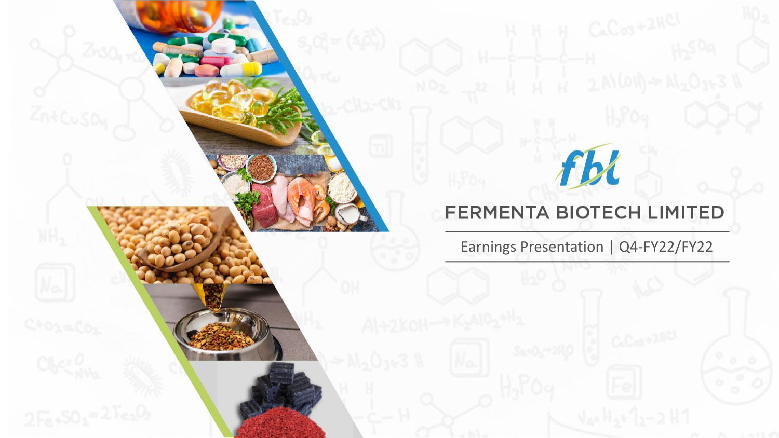# fbl

#### **FERMENTA BIOTECH LIMITED**

Earnings Presentation | Q4-FY22/FY22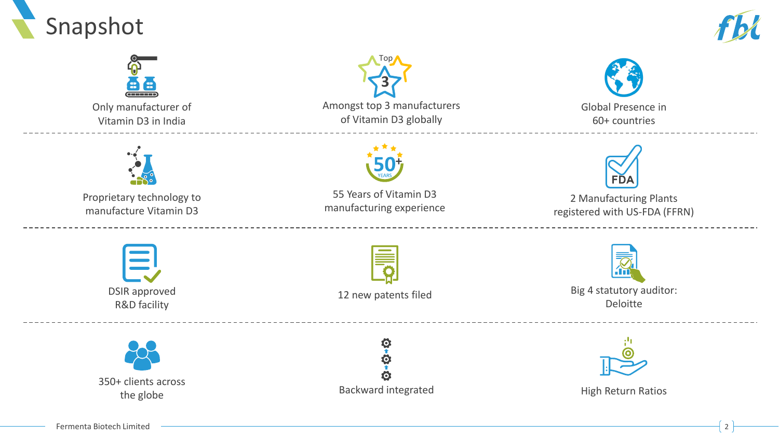





Only manufacturer of Vitamin D3 in India





Global Presence in 60+ countries



Proprietary technology to manufacture Vitamin D3



55 Years of Vitamin D3 manufacturing experience



2 Manufacturing Plants registered with US-FDA (FFRN)

DSIR approved R&D facility



12 new patents filed



Big 4 statutory auditor: Deloitte



O<br>1 Ö. Ö

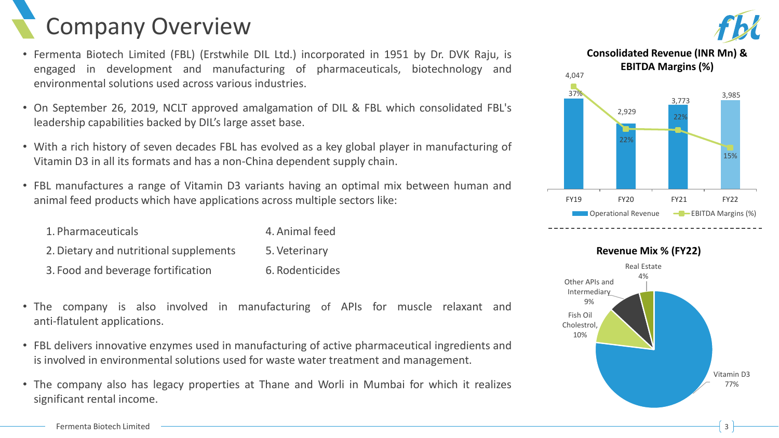# Company Overview

- Fermenta Biotech Limited (FBL) (Erstwhile DIL Ltd.) incorporated in 1951 by Dr. DVK Raju, is engaged in development and manufacturing of pharmaceuticals, biotechnology and environmental solutions used across various industries.
- On September 26, 2019, NCLT approved amalgamation of DIL & FBL which consolidated FBL's leadership capabilities backed by DIL's large asset base.
- With a rich history of seven decades FBL has evolved as a key global player in manufacturing of Vitamin D3 in all its formats and has a non-China dependent supply chain.
- FBL manufactures a range of Vitamin D3 variants having an optimal mix between human and animal feed products which have applications across multiple sectors like:

| 1. Pharmaceuticals                     | 4. Animal feed  |
|----------------------------------------|-----------------|
| 2. Dietary and nutritional supplements | 5. Veterinary   |
| 3. Food and beverage fortification     | 6. Rodenticides |

- The company is also involved in manufacturing of APIs for muscle relaxant and anti-flatulent applications.
- FBL delivers innovative enzymes used in manufacturing of active pharmaceutical ingredients and is involved in environmental solutions used for waste water treatment and management.
- The company also has legacy properties at Thane and Worli in Mumbai for which it realizes significant rental income.



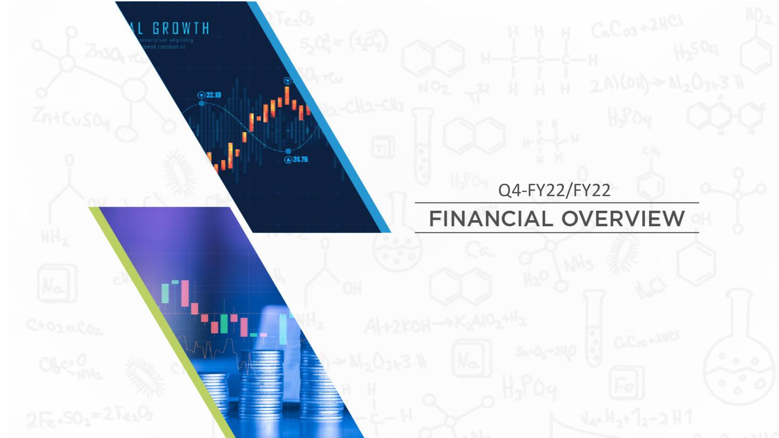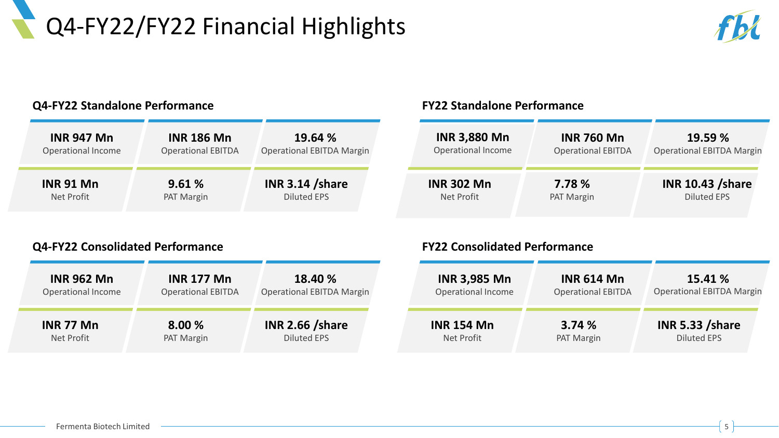# Q4-FY22/FY22 Financial Highlights



#### **Q4-FY22 Standalone Performance**

| <b>INR 947 Mn</b>  | <b>INR 186 Mn</b>         | 19.64 %                          |
|--------------------|---------------------------|----------------------------------|
| Operational Income | <b>Operational EBITDA</b> | <b>Operational EBITDA Margin</b> |
| <b>INR 91 Mn</b>   | 9.61%                     | <b>INR 3.14 /share</b>           |
| Net Profit         | PAT Margin                | <b>Diluted EPS</b>               |

#### **FY22 Standalone Performance**

| <b>INR 3,880 Mn</b> | <b>INR 760 Mn</b>         | 19.59 %                          |
|---------------------|---------------------------|----------------------------------|
| Operational Income  | <b>Operational EBITDA</b> | <b>Operational EBITDA Margin</b> |
| <b>INR 302 Mn</b>   | 7.78 %                    | <b>INR 10.43 /share</b>          |
| Net Profit          | PAT Margin                | <b>Diluted EPS</b>               |

#### **Q4-FY22 Consolidated Performance**

| <b>INR 962 Mn</b>  | <b>INR 177 Mn</b>         | 18.40 %                          |
|--------------------|---------------------------|----------------------------------|
| Operational Income | <b>Operational EBITDA</b> | <b>Operational EBITDA Margin</b> |
| <b>INR 77 Mn</b>   | 8.00 %                    | <b>INR 2.66 /share</b>           |
| Net Profit         | PAT Margin                | <b>Diluted EPS</b>               |

#### **FY22 Consolidated Performance**

| <b>INR 3,985 Mn</b> | <b>INR 614 Mn</b>         | 15.41 %                          |
|---------------------|---------------------------|----------------------------------|
| Operational Income  | <b>Operational EBITDA</b> | <b>Operational EBITDA Margin</b> |
| <b>INR 154 Mn</b>   | 3.74%                     | <b>INR 5.33 /share</b>           |
| Net Profit          | PAT Margin                | <b>Diluted EPS</b>               |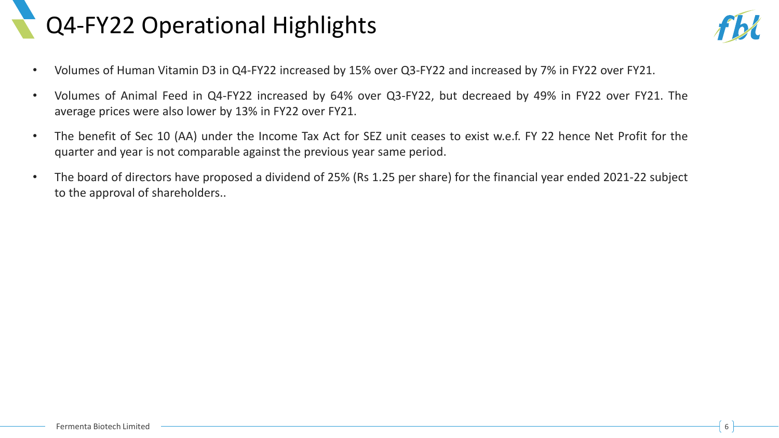# Q4-FY22 Operational Highlights



- Volumes of Human Vitamin D3 in Q4-FY22 increased by 15% over Q3-FY22 and increased by 7% in FY22 over FY21.
- Volumes of Animal Feed in Q4-FY22 increased by 64% over Q3-FY22, but decreaed by 49% in FY22 over FY21. The average prices were also lower by 13% in FY22 over FY21.
- The benefit of Sec 10 (AA) under the Income Tax Act for SEZ unit ceases to exist w.e.f. FY 22 hence Net Profit for the quarter and year is not comparable against the previous year same period.
- The board of directors have proposed a dividend of 25% (Rs 1.25 per share) for the financial year ended 2021-22 subject to the approval of shareholders..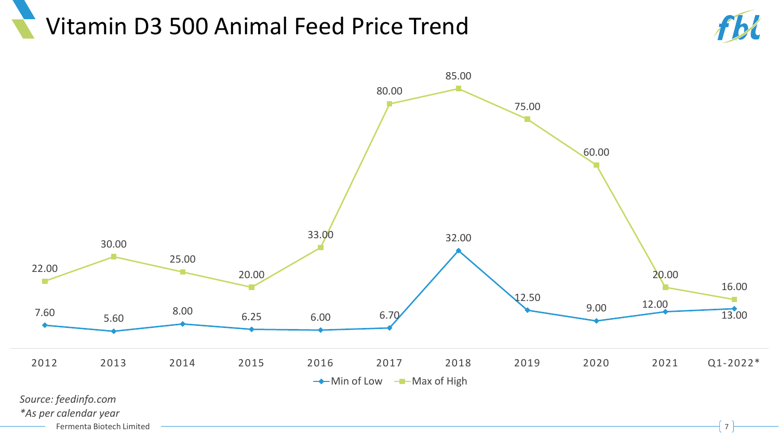### Vitamin D3 500 Animal Feed Price Trend



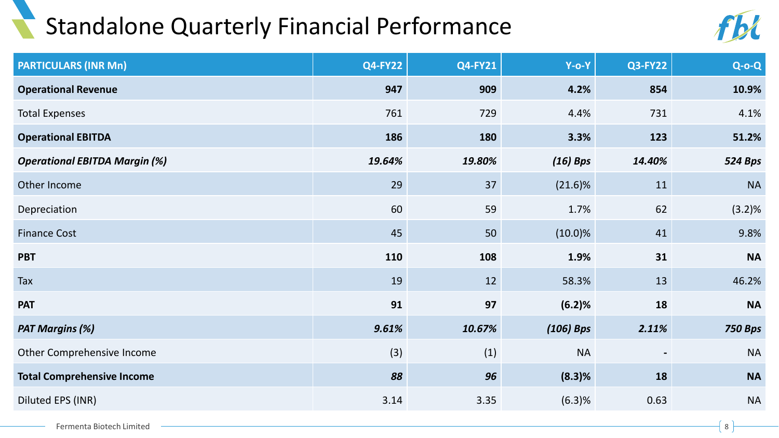#### Standalone Quarterly Financial Performance



| <b>PARTICULARS (INR Mn)</b>          | <b>Q4-FY22</b> | <b>Q4-FY21</b> | $Y$ -O-Y    | <b>Q3-FY22</b> | $Q-O-Q$        |
|--------------------------------------|----------------|----------------|-------------|----------------|----------------|
| <b>Operational Revenue</b>           | 947            | 909            | 4.2%        | 854            | 10.9%          |
| <b>Total Expenses</b>                | 761            | 729            | 4.4%        | 731            | 4.1%           |
| <b>Operational EBITDA</b>            | 186            | 180            | 3.3%        | 123            | 51.2%          |
| <b>Operational EBITDA Margin (%)</b> | 19.64%         | 19.80%         | $(16)$ Bps  | 14.40%         | <b>524 Bps</b> |
| Other Income                         | 29             | 37             | $(21.6)\%$  | 11             | <b>NA</b>      |
| Depreciation                         | 60             | 59             | 1.7%        | 62             | $(3.2)\%$      |
| <b>Finance Cost</b>                  | 45             | 50             | $(10.0)\%$  | 41             | 9.8%           |
| <b>PBT</b>                           | 110            | 108            | 1.9%        | 31             | <b>NA</b>      |
| Tax                                  | 19             | 12             | 58.3%       | 13             | 46.2%          |
| <b>PAT</b>                           | 91             | 97             | (6.2)%      | 18             | <b>NA</b>      |
| <b>PAT Margins (%)</b>               | 9.61%          | 10.67%         | $(106)$ Bps | 2.11%          | <b>750 Bps</b> |
| Other Comprehensive Income           | (3)            | (1)            | <b>NA</b>   |                | <b>NA</b>      |
| <b>Total Comprehensive Income</b>    | 88             | 96             | $(8.3)$ %   | 18             | <b>NA</b>      |
| Diluted EPS (INR)                    | 3.14           | 3.35           | (6.3)%      | 0.63           | <b>NA</b>      |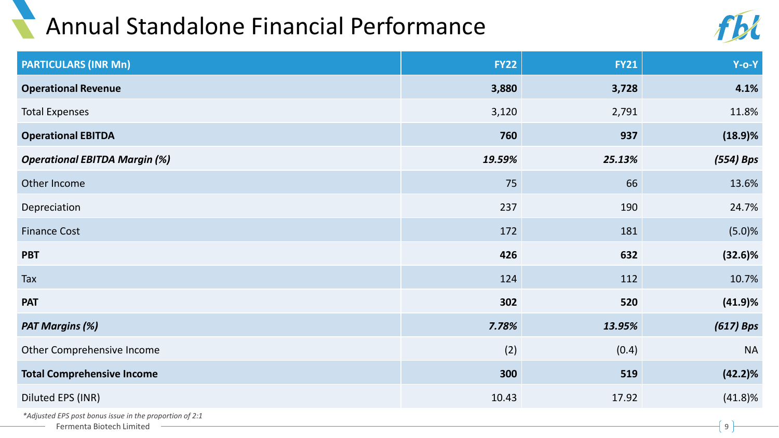# Annual Standalone Financial Performance



| <b>PARTICULARS (INR Mn)</b>                             | <b>FY22</b> | <b>FY21</b> | $Y-O-Y$     |
|---------------------------------------------------------|-------------|-------------|-------------|
| <b>Operational Revenue</b>                              | 3,880       | 3,728       | 4.1%        |
| <b>Total Expenses</b>                                   | 3,120       | 2,791       | 11.8%       |
| <b>Operational EBITDA</b>                               | 760         | 937         | (18.9)%     |
| <b>Operational EBITDA Margin (%)</b>                    | 19.59%      | 25.13%      | (554) Bps   |
| Other Income                                            | 75          | 66          | 13.6%       |
| Depreciation                                            | 237         | 190         | 24.7%       |
| <b>Finance Cost</b>                                     | 172         | 181         | (5.0)%      |
| <b>PBT</b>                                              | 426         | 632         | $(32.6)\%$  |
| Tax                                                     | 124         | 112         | 10.7%       |
| <b>PAT</b>                                              | 302         | 520         | (41.9)%     |
| <b>PAT Margins (%)</b>                                  | 7.78%       | 13.95%      | $(617)$ Bps |
| Other Comprehensive Income                              | (2)         | (0.4)       | <b>NA</b>   |
| <b>Total Comprehensive Income</b>                       | 300         | 519         | $(42.2)\%$  |
| Diluted EPS (INR)                                       | 10.43       | 17.92       | $(41.8)\%$  |
| *Adjusted EPS post bonus issue in the proportion of 2:1 |             |             |             |

Fermenta Biotech Limited 9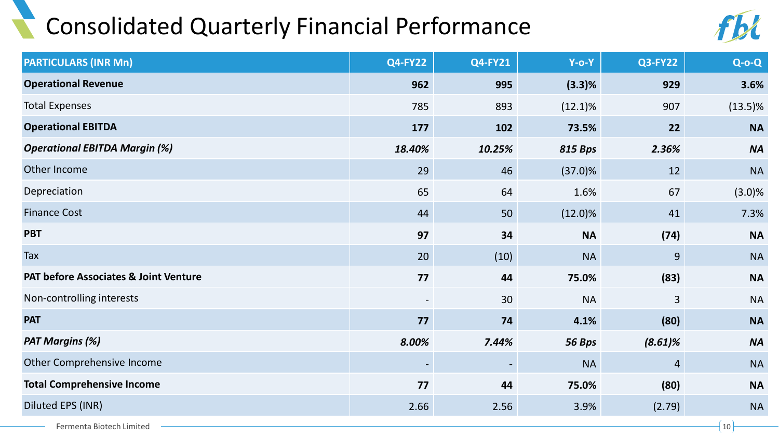### Consolidated Quarterly Financial Performance



| <b>PARTICULARS (INR Mn)</b>                      | <b>Q4-FY22</b>           | <b>Q4-FY21</b> | $Y$ -0- $Y$    | <b>Q3-FY22</b> | $Q$ -o- $Q$ |
|--------------------------------------------------|--------------------------|----------------|----------------|----------------|-------------|
| <b>Operational Revenue</b>                       | 962                      | 995            | (3.3)%         | 929            | 3.6%        |
| <b>Total Expenses</b>                            | 785                      | 893            | $(12.1)\%$     | 907            | $(13.5)\%$  |
| <b>Operational EBITDA</b>                        | 177                      | 102            | 73.5%          | 22             | <b>NA</b>   |
| <b>Operational EBITDA Margin (%)</b>             | 18.40%                   | 10.25%         | <b>815 Bps</b> | 2.36%          | <b>NA</b>   |
| Other Income                                     | 29                       | 46             | $(37.0)\%$     | 12             | <b>NA</b>   |
| Depreciation                                     | 65                       | 64             | 1.6%           | 67             | $(3.0)\%$   |
| <b>Finance Cost</b>                              | 44                       | 50             | $(12.0)\%$     | 41             | 7.3%        |
| <b>PBT</b>                                       | 97                       | 34             | <b>NA</b>      | (74)           | <b>NA</b>   |
| Tax                                              | 20                       | (10)           | <b>NA</b>      | 9              | <b>NA</b>   |
| <b>PAT before Associates &amp; Joint Venture</b> | 77                       | 44             | 75.0%          | (83)           | <b>NA</b>   |
| Non-controlling interests                        | $\overline{\phantom{a}}$ | 30             | <b>NA</b>      | $\overline{3}$ | <b>NA</b>   |
| <b>PAT</b>                                       | 77                       | 74             | 4.1%           | (80)           | <b>NA</b>   |
| <b>PAT Margins (%)</b>                           | 8.00%                    | 7.44%          | 56 Bps         | $(8.61)\%$     | <b>NA</b>   |
| Other Comprehensive Income                       |                          |                | <b>NA</b>      | $\overline{a}$ | <b>NA</b>   |
| <b>Total Comprehensive Income</b>                | 77                       | 44             | 75.0%          | (80)           | <b>NA</b>   |
| Diluted EPS (INR)                                | 2.66                     | 2.56           | 3.9%           | (2.79)         | <b>NA</b>   |
| Fermenta Biotech Limited                         |                          |                |                |                | 10          |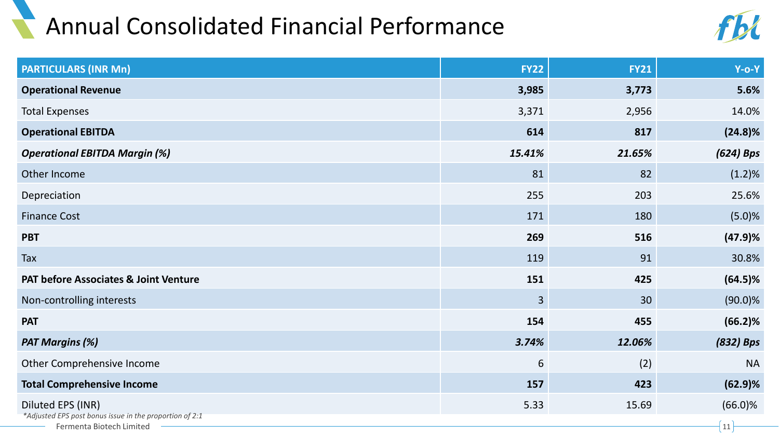### Annual Consolidated Financial Performance



| <b>PARTICULARS (INR Mn)</b>                                                         | <b>FY22</b> | <b>FY21</b> | $Y$ -O-Y   |
|-------------------------------------------------------------------------------------|-------------|-------------|------------|
| <b>Operational Revenue</b>                                                          | 3,985       | 3,773       | 5.6%       |
| <b>Total Expenses</b>                                                               | 3,371       | 2,956       | 14.0%      |
| <b>Operational EBITDA</b>                                                           | 614         | 817         | $(24.8)\%$ |
| <b>Operational EBITDA Margin (%)</b>                                                | 15.41%      | 21.65%      | (624) Bps  |
| Other Income                                                                        | 81          | 82          | (1.2)%     |
| Depreciation                                                                        | 255         | 203         | 25.6%      |
| <b>Finance Cost</b>                                                                 | 171         | 180         | (5.0)%     |
| <b>PBT</b>                                                                          | 269         | 516         | (47.9)%    |
| Tax                                                                                 | 119         | 91          | 30.8%      |
| <b>PAT before Associates &amp; Joint Venture</b>                                    | 151         | 425         | $(64.5)\%$ |
| Non-controlling interests                                                           | 3           | 30          | $(90.0)\%$ |
| <b>PAT</b>                                                                          | 154         | 455         | (66.2)%    |
| <b>PAT Margins (%)</b>                                                              | 3.74%       | 12.06%      | (832) Bps  |
| Other Comprehensive Income                                                          | 6           | (2)         | <b>NA</b>  |
| <b>Total Comprehensive Income</b>                                                   | 157         | 423         | $(62.9)$ % |
| Diluted EPS (INR)                                                                   | 5.33        | 15.69       | $(66.0)\%$ |
| *Adjusted EPS post bonus issue in the proportion of 2:1<br>Fermenta Biotech Limited |             |             | 11         |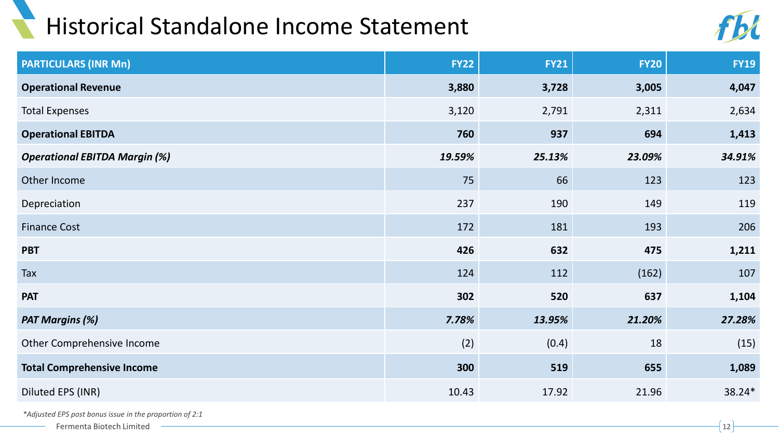#### Historical Standalone Income Statement



| <b>PARTICULARS (INR Mn)</b>          | <b>FY22</b> | <b>FY21</b> | <b>FY20</b> | <b>FY19</b> |
|--------------------------------------|-------------|-------------|-------------|-------------|
| <b>Operational Revenue</b>           | 3,880       | 3,728       | 3,005       | 4,047       |
| <b>Total Expenses</b>                | 3,120       | 2,791       | 2,311       | 2,634       |
| <b>Operational EBITDA</b>            | 760         | 937         | 694         | 1,413       |
| <b>Operational EBITDA Margin (%)</b> | 19.59%      | 25.13%      | 23.09%      | 34.91%      |
| Other Income                         | 75          | 66          | 123         | 123         |
| Depreciation                         | 237         | 190         | 149         | 119         |
| <b>Finance Cost</b>                  | 172         | 181         | 193         | 206         |
| <b>PBT</b>                           | 426         | 632         | 475         | 1,211       |
| Tax                                  | 124         | 112         | (162)       | 107         |
| <b>PAT</b>                           | 302         | 520         | 637         | 1,104       |
| <b>PAT Margins (%)</b>               | 7.78%       | 13.95%      | 21.20%      | 27.28%      |
| Other Comprehensive Income           | (2)         | (0.4)       | 18          | (15)        |
| <b>Total Comprehensive Income</b>    | 300         | 519         | 655         | 1,089       |
| Diluted EPS (INR)                    | 10.43       | 17.92       | 21.96       | 38.24*      |

*\*Adjusted EPS post bonus issue in the proportion of 2:1*

Fermenta Biotech Limited  $\qquad \qquad \qquad \boxed{12}$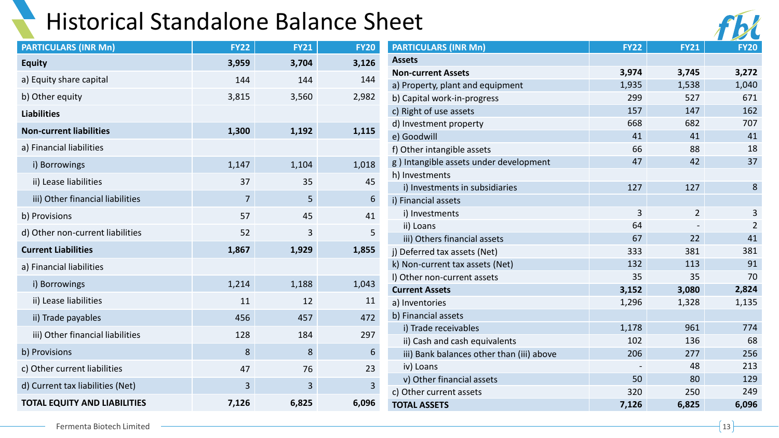#### Historical Standalone Balance Sheet

| <b>PARTICULARS (INR Mn)</b>         | <b>FY22</b>    | <b>FY21</b> | <b>FY20</b> |
|-------------------------------------|----------------|-------------|-------------|
| <b>Equity</b>                       | 3,959          | 3,704       | 3,126       |
| a) Equity share capital             | 144            | 144         | 144         |
| b) Other equity                     | 3,815          | 3,560       | 2,982       |
| <b>Liabilities</b>                  |                |             |             |
| <b>Non-current liabilities</b>      | 1,300          | 1,192       | 1,115       |
| a) Financial liabilities            |                |             |             |
| i) Borrowings                       | 1,147          | 1,104       | 1,018       |
| ii) Lease liabilities               | 37             | 35          | 45          |
| iii) Other financial liabilities    | $\overline{7}$ | 5           | 6           |
| b) Provisions                       | 57             | 45          | 41          |
| d) Other non-current liabilities    | 52             | 3           | 5           |
| <b>Current Liabilities</b>          | 1,867          | 1,929       | 1,855       |
| a) Financial liabilities            |                |             |             |
| i) Borrowings                       | 1,214          | 1,188       | 1,043       |
| ii) Lease liabilities               | 11             | 12          | 11          |
| ii) Trade payables                  | 456            | 457         | 472         |
| iii) Other financial liabilities    | 128            | 184         | 297         |
| b) Provisions                       | 8              | 8           | 6           |
| c) Other current liabilities        | 47             | 76          | 23          |
| d) Current tax liabilities (Net)    | 3              | 3           | 3           |
| <b>TOTAL EQUITY AND LIABILITIES</b> | 7,126          | 6,825       | 6,096       |

| eet                                       |             |                |                |
|-------------------------------------------|-------------|----------------|----------------|
| <b>PARTICULARS (INR Mn)</b>               | <b>FY22</b> | <b>FY21</b>    | <b>FY20</b>    |
| <b>Assets</b>                             |             |                |                |
| <b>Non-current Assets</b>                 | 3,974       | 3,745          | 3,272          |
| a) Property, plant and equipment          | 1,935       | 1,538          | 1,040          |
| b) Capital work-in-progress               | 299         | 527            | 671            |
| c) Right of use assets                    | 157         | 147            | 162            |
| d) Investment property                    | 668         | 682            | 707            |
| e) Goodwill                               | 41          | 41             | 41             |
| f) Other intangible assets                | 66          | 88             | 18             |
| g) Intangible assets under development    | 47          | 42             | 37             |
| h) Investments                            |             |                |                |
| i) Investments in subsidiaries            | 127         | 127            | 8              |
| i) Financial assets                       |             |                |                |
| i) Investments                            | 3           | $\overline{2}$ | 3              |
| ii) Loans                                 | 64          |                | $\overline{2}$ |
| iii) Others financial assets              | 67          | 22             | 41             |
| j) Deferred tax assets (Net)              | 333         | 381            | 381            |
| k) Non-current tax assets (Net)           | 132         | 113            | 91             |
| I) Other non-current assets               | 35          | 35             | 70             |
| <b>Current Assets</b>                     | 3,152       | 3,080          | 2,824          |
| a) Inventories                            | 1,296       | 1,328          | 1,135          |
| b) Financial assets                       |             |                |                |
| i) Trade receivables                      | 1,178       | 961            | 774            |
| ii) Cash and cash equivalents             | 102         | 136            | 68             |
| iii) Bank balances other than (iii) above | 206         | 277            | 256            |
| iv) Loans                                 |             | 48             | 213            |
| v) Other financial assets                 | 50          | 80             | 129            |
| c) Other current assets                   | 320         | 250            | 249            |
| <b>TOTAL ASSETS</b>                       | 7,126       | 6,825          | 6,096          |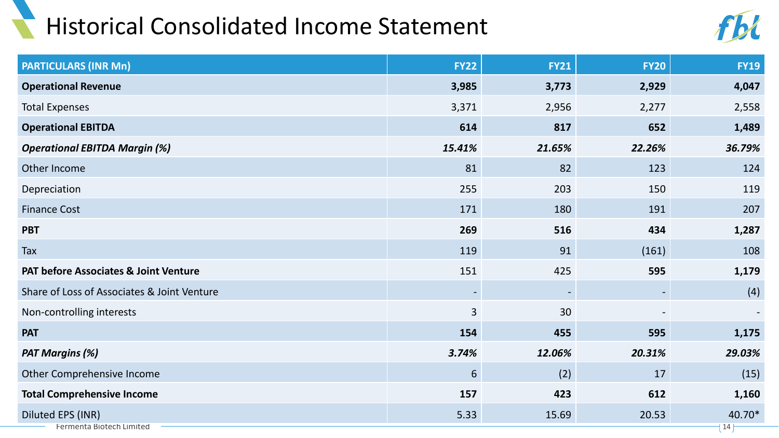### Historical Consolidated Income Statement



| <b>PARTICULARS (INR Mn)</b>                      | <b>FY22</b>    | <b>FY21</b> | <b>FY20</b> | <b>FY19</b>   |
|--------------------------------------------------|----------------|-------------|-------------|---------------|
| <b>Operational Revenue</b>                       | 3,985          | 3,773       | 2,929       | 4,047         |
| <b>Total Expenses</b>                            | 3,371          | 2,956       | 2,277       | 2,558         |
| <b>Operational EBITDA</b>                        | 614            | 817         | 652         | 1,489         |
| <b>Operational EBITDA Margin (%)</b>             | 15.41%         | 21.65%      | 22.26%      | 36.79%        |
| Other Income                                     | 81             | 82          | 123         | 124           |
| Depreciation                                     | 255            | 203         | 150         | 119           |
| <b>Finance Cost</b>                              | 171            | 180         | 191         | 207           |
| <b>PBT</b>                                       | 269            | 516         | 434         | 1,287         |
| Tax                                              | 119            | 91          | (161)       | 108           |
| <b>PAT before Associates &amp; Joint Venture</b> | 151            | 425         | 595         | 1,179         |
| Share of Loss of Associates & Joint Venture      |                |             |             | (4)           |
| Non-controlling interests                        | $\overline{3}$ | 30          |             |               |
| <b>PAT</b>                                       | 154            | 455         | 595         | 1,175         |
| <b>PAT Margins (%)</b>                           | 3.74%          | 12.06%      | 20.31%      | 29.03%        |
| Other Comprehensive Income                       | 6              | (2)         | 17          | (15)          |
| <b>Total Comprehensive Income</b>                | 157            | 423         | 612         | 1,160         |
| Diluted EPS (INR)<br>Fermenta Biotech Limited    | 5.33           | 15.69       | 20.53       | 40.70*<br> 14 |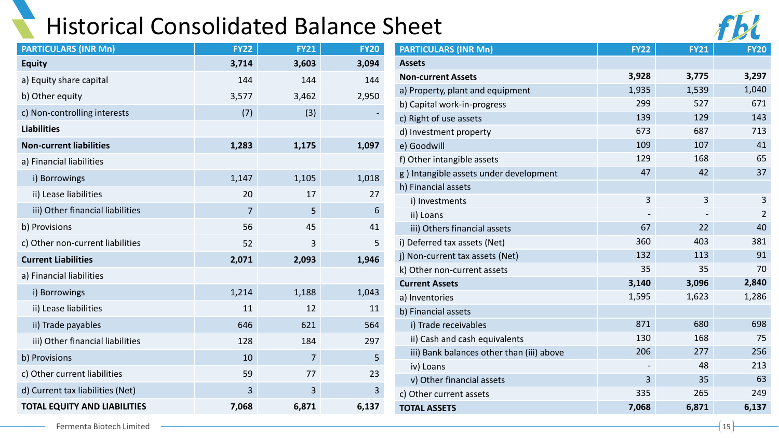### Historical Consolidated Balance Sheet

| <b>PARTICULARS (INR Mn)</b>         | <b>FY22</b>    | <b>FY21</b> | <b>FY20</b> |
|-------------------------------------|----------------|-------------|-------------|
| <b>Equity</b>                       | 3,714          | 3,603       | 3,094       |
| a) Equity share capital             | 144            | 144         | 144         |
| b) Other equity                     | 3,577          | 3,462       | 2,950       |
| c) Non-controlling interests        | (7)            | (3)         |             |
| <b>Liabilities</b>                  |                |             |             |
| <b>Non-current liabilities</b>      | 1,283          | 1,175       | 1,097       |
| a) Financial liabilities            |                |             |             |
| i) Borrowings                       | 1,147          | 1,105       | 1,018       |
| ii) Lease liabilities               | 20             | 17          | 27          |
| iii) Other financial liabilities    | $\overline{7}$ | 5           | 6           |
| b) Provisions                       | 56             | 45          | 41          |
| c) Other non-current liabilities    | 52             | 3           | 5           |
| <b>Current Liabilities</b>          | 2,071          | 2,093       | 1,946       |
| a) Financial liabilities            |                |             |             |
| i) Borrowings                       | 1,214          | 1,188       | 1,043       |
| ii) Lease liabilities               | 11             | 12          | 11          |
| ii) Trade payables                  | 646            | 621         | 564         |
| iii) Other financial liabilities    | 128            | 184         | 297         |
| b) Provisions                       | 10             | 7           | 5           |
| c) Other current liabilities        | 59             | 77          | 23          |
| d) Current tax liabilities (Net)    | 3              | 3           | 3           |
| <b>TOTAL EQUITY AND LIABILITIES</b> | 7,068          | 6,871       | 6,137       |

| <b>PARTICULARS (INR Mn)</b>               | <b>FY22</b> | <b>FY21</b> | <b>FY20</b>    |
|-------------------------------------------|-------------|-------------|----------------|
| <b>Assets</b>                             |             |             |                |
| <b>Non-current Assets</b>                 | 3,928       | 3,775       | 3,297          |
| a) Property, plant and equipment          | 1,935       | 1,539       | 1,040          |
| b) Capital work-in-progress               | 299         | 527         | 671            |
| c) Right of use assets                    | 139         | 129         | 143            |
| d) Investment property                    | 673         | 687         | 713            |
| e) Goodwill                               | 109         | 107         | 41             |
| f) Other intangible assets                | 129         | 168         | 65             |
| g) Intangible assets under development    | 47          | 42          | 37             |
| h) Financial assets                       |             |             |                |
| i) Investments                            | 3           | 3           | 3              |
| ii) Loans                                 |             |             | $\overline{2}$ |
| iii) Others financial assets              | 67          | 22          | 40             |
| i) Deferred tax assets (Net)              | 360         | 403         | 381            |
| j) Non-current tax assets (Net)           | 132         | 113         | 91             |
| k) Other non-current assets               | 35          | 35          | 70             |
| <b>Current Assets</b>                     | 3,140       | 3,096       | 2,840          |
| a) Inventories                            | 1,595       | 1,623       | 1,286          |
| b) Financial assets                       |             |             |                |
| i) Trade receivables                      | 871         | 680         | 698            |
| ii) Cash and cash equivalents             | 130         | 168         | 75             |
| iii) Bank balances other than (iii) above | 206         | 277         | 256            |
| iv) Loans                                 |             | 48          | 213            |
| v) Other financial assets                 | 3           | 35          | 63             |
| c) Other current assets                   | 335         | 265         | 249            |
| <b>TOTAL ASSETS</b>                       | 7,068       | 6,871       | 6,137          |
|                                           |             |             |                |

Fermenta Biotech Limited <del>2002</del> 2015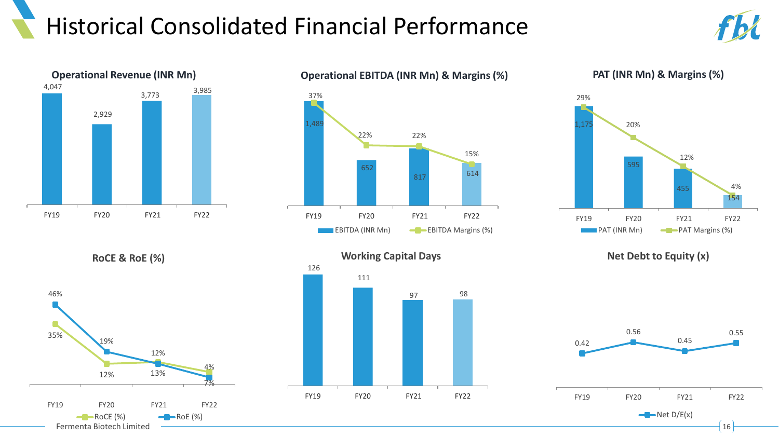### Historical Consolidated Financial Performance







**PAT (INR Mn) & Margins (%)**